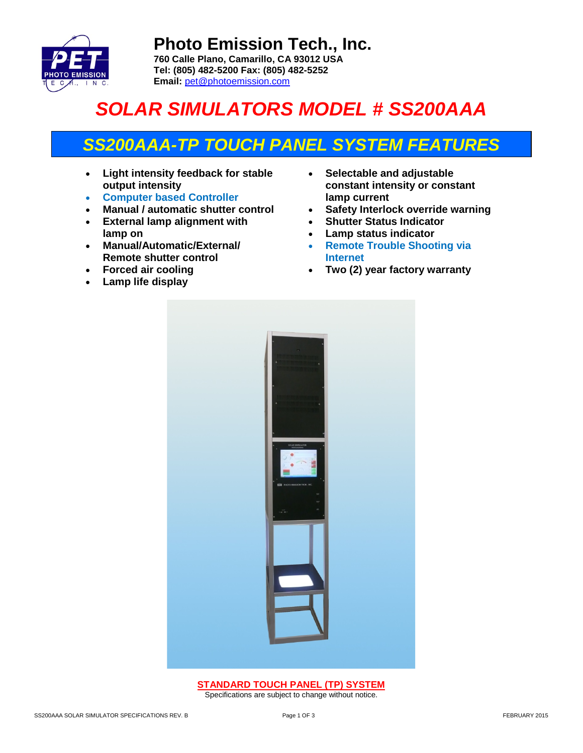

**Photo Emission Tech., Inc. 760 Calle Plano, Camarillo, CA 93012 USA Tel: (805) 482-5200 Fax: (805) 482-5252 Email:** [pet@photoemission.com](mailto:pet@photoemission.com)

# *SOLAR SIMULATORS MODEL # SS200AAA*

### *SS200AAA-TP TOUCH PANEL SYSTEM FEATURES*

- **Light intensity feedback for stable output intensity**
- **Computer based Controller**
- **Manual / automatic shutter control**
- **External lamp alignment with lamp on**
- **Manual/Automatic/External/ Remote shutter control**
- **Forced air cooling**
- **Lamp life display**
- **Selectable and adjustable constant intensity or constant lamp current**
- **Safety Interlock override warning**
- **Shutter Status Indicator**
- **Lamp status indicator**
- **Remote Trouble Shooting via Internet**
- **Two (2) year factory warranty**



**STANDARD TOUCH PANEL (TP) SYSTEM** Specifications are subject to change without notice.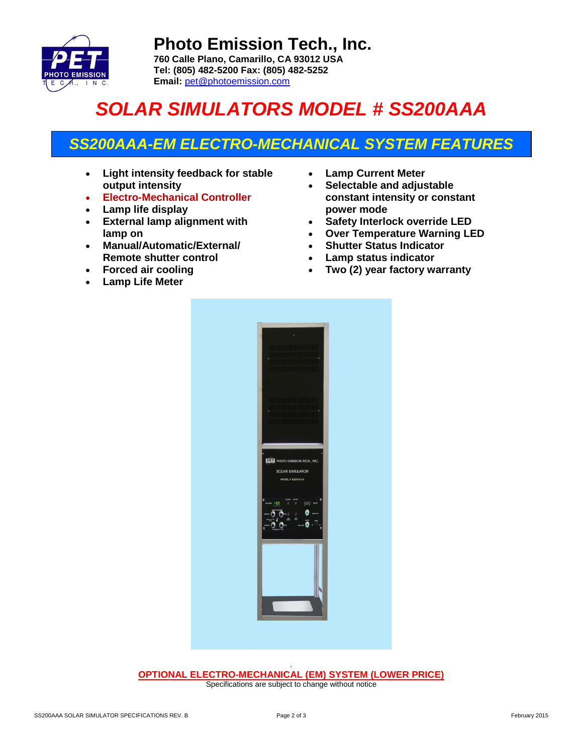

**Photo Emission Tech., Inc. 760 Calle Plano, Camarillo, CA 93012 USA Tel: (805) 482-5200 Fax: (805) 482-5252 Email:** [pet@photoemission.com](mailto:pet@photoemission.com)

# *SOLAR SIMULATORS MODEL # SS200AAA*

### *SS200AAA-EM ELECTRO-MECHANICAL SYSTEM FEATURES*

- **Light intensity feedback for stable output intensity**
- **Electro-Mechanical Controller**
- **Lamp life display**
- **External lamp alignment with lamp on**
- **Manual/Automatic/External/ Remote shutter control**
- **Forced air cooling**
- **Lamp Life Meter**
- **Lamp Current Meter**
- **Selectable and adjustable constant intensity or constant power mode**
- **Safety Interlock override LED**
- **Over Temperature Warning LED**
- **Shutter Status Indicator**
- **Lamp status indicator**
- **Two (2) year factory warranty**



. **OPTIONAL ELECTRO-MECHANICAL (EM) SYSTEM (LOWER PRICE)** Specifications are subject to change without notice